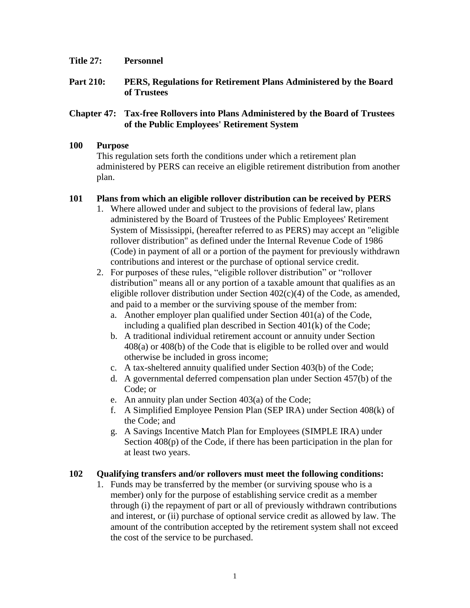- **Title 27: Personnel**
- **Part 210: PERS, Regulations for Retirement Plans Administered by the Board of Trustees**

## **Chapter 47: Tax-free Rollovers into Plans Administered by the Board of Trustees of the Public Employees' Retirement System**

## **100 Purpose**

This regulation sets forth the conditions under which a retirement plan administered by PERS can receive an eligible retirement distribution from another plan.

## **101 Plans from which an eligible rollover distribution can be received by PERS**

- 1. Where allowed under and subject to the provisions of federal law, plans administered by the Board of Trustees of the Public Employees' Retirement System of Mississippi, (hereafter referred to as PERS) may accept an "eligible rollover distribution" as defined under the Internal Revenue Code of 1986 (Code) in payment of all or a portion of the payment for previously withdrawn contributions and interest or the purchase of optional service credit.
- 2. For purposes of these rules, "eligible rollover distribution" or "rollover distribution" means all or any portion of a taxable amount that qualifies as an eligible rollover distribution under Section  $402(c)(4)$  of the Code, as amended, and paid to a member or the surviving spouse of the member from:
	- a. Another employer plan qualified under Section 401(a) of the Code, including a qualified plan described in Section 401(k) of the Code;
	- b. A traditional individual retirement account or annuity under Section 408(a) or 408(b) of the Code that is eligible to be rolled over and would otherwise be included in gross income;
	- c. A tax-sheltered annuity qualified under Section 403(b) of the Code;
	- d. A governmental deferred compensation plan under Section 457(b) of the Code; or
	- e. An annuity plan under Section 403(a) of the Code;
	- f. A Simplified Employee Pension Plan (SEP IRA) under Section 408(k) of the Code; and
	- g. A Savings Incentive Match Plan for Employees (SIMPLE IRA) under Section 408(p) of the Code, if there has been participation in the plan for at least two years.

## **102 Qualifying transfers and/or rollovers must meet the following conditions:**

1. Funds may be transferred by the member (or surviving spouse who is a member) only for the purpose of establishing service credit as a member through (i) the repayment of part or all of previously withdrawn contributions and interest, or (ii) purchase of optional service credit as allowed by law. The amount of the contribution accepted by the retirement system shall not exceed the cost of the service to be purchased.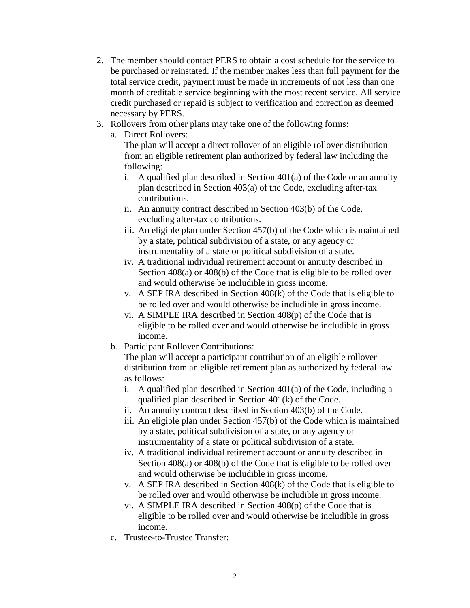- 2. The member should contact PERS to obtain a cost schedule for the service to be purchased or reinstated. If the member makes less than full payment for the total service credit, payment must be made in increments of not less than one month of creditable service beginning with the most recent service. All service credit purchased or repaid is subject to verification and correction as deemed necessary by PERS.
- 3. Rollovers from other plans may take one of the following forms:
	- a. Direct Rollovers:

The plan will accept a direct rollover of an eligible rollover distribution from an eligible retirement plan authorized by federal law including the following:

- i. A qualified plan described in Section  $401(a)$  of the Code or an annuity plan described in Section 403(a) of the Code, excluding after-tax contributions.
- ii. An annuity contract described in Section 403(b) of the Code, excluding after-tax contributions.
- iii. An eligible plan under Section 457(b) of the Code which is maintained by a state, political subdivision of a state, or any agency or instrumentality of a state or political subdivision of a state.
- iv. A traditional individual retirement account or annuity described in Section 408(a) or 408(b) of the Code that is eligible to be rolled over and would otherwise be includible in gross income.
- v. A SEP IRA described in Section 408(k) of the Code that is eligible to be rolled over and would otherwise be includible in gross income.
- vi. A SIMPLE IRA described in Section 408(p) of the Code that is eligible to be rolled over and would otherwise be includible in gross income.
- b. Participant Rollover Contributions:

The plan will accept a participant contribution of an eligible rollover distribution from an eligible retirement plan as authorized by federal law as follows:

- i. A qualified plan described in Section  $401(a)$  of the Code, including a qualified plan described in Section 401(k) of the Code.
- ii. An annuity contract described in Section 403(b) of the Code.
- iii. An eligible plan under Section 457(b) of the Code which is maintained by a state, political subdivision of a state, or any agency or instrumentality of a state or political subdivision of a state.
- iv. A traditional individual retirement account or annuity described in Section 408(a) or 408(b) of the Code that is eligible to be rolled over and would otherwise be includible in gross income.
- v. A SEP IRA described in Section 408(k) of the Code that is eligible to be rolled over and would otherwise be includible in gross income.
- vi. A SIMPLE IRA described in Section 408(p) of the Code that is eligible to be rolled over and would otherwise be includible in gross income.
- c. Trustee-to-Trustee Transfer: